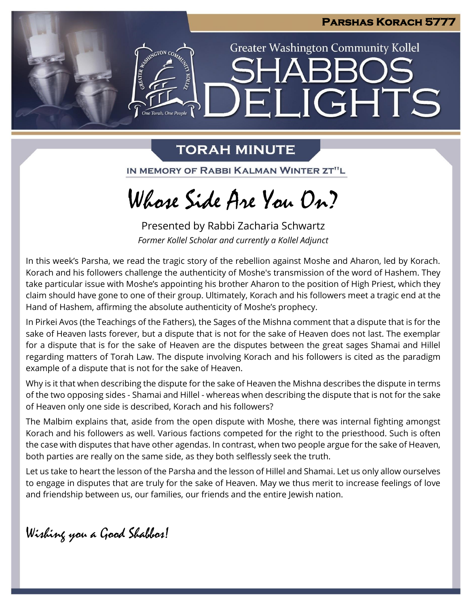

**Greater Washington Community Kollel** 

ELIGHTS

# **TORAH MINUTE**

ESTER AVENUE DE

One Torah. One People

IN MEMORY OF RABBI KALMAN WINTER ZT"L

# Whose Side Are You On?

Presented by Rabbi Zacharia Schwartz *Former Kollel Scholar and currently a Kollel Adjunct*

In this week's Parsha, we read the tragic story of the rebellion against Moshe and Aharon, led by Korach. Korach and his followers challenge the authenticity of Moshe's transmission of the word of Hashem. They take particular issue with Moshe's appointing his brother Aharon to the position of High Priest, which they claim should have gone to one of their group. Ultimately, Korach and his followers meet a tragic end at the Hand of Hashem, affirming the absolute authenticity of Moshe's prophecy.

In Pirkei Avos (the Teachings of the Fathers), the Sages of the Mishna comment that a dispute that is for the sake of Heaven lasts forever, but a dispute that is not for the sake of Heaven does not last. The exemplar for a dispute that is for the sake of Heaven are the disputes between the great sages Shamai and Hillel regarding matters of Torah Law. The dispute involving Korach and his followers is cited as the paradigm example of a dispute that is not for the sake of Heaven.

Why is it that when describing the dispute for the sake of Heaven the Mishna describes the dispute in terms of the two opposing sides - Shamai and Hillel - whereas when describing the dispute that is not for the sake of Heaven only one side is described, Korach and his followers?

The Malbim explains that, aside from the open dispute with Moshe, there was internal fighting amongst Korach and his followers as well. Various factions competed for the right to the priesthood. Such is often the case with disputes that have other agendas. In contrast, when two people argue for the sake of Heaven, both parties are really on the same side, as they both selflessly seek the truth.

Let us take to heart the lesson of the Parsha and the lesson of Hillel and Shamai. Let us only allow ourselves to engage in disputes that are truly for the sake of Heaven. May we thus merit to increase feelings of love and friendship between us, our families, our friends and the entire Jewish nation.

Wishing you a Good Shabbos!